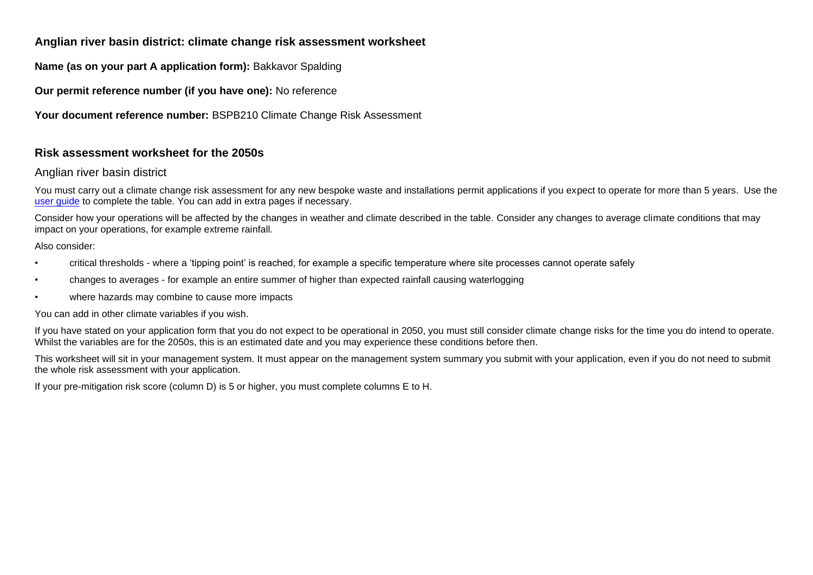## **Anglian river basin district: climate change risk assessment worksheet**

**Name (as on your part A application form):** Bakkavor Spalding

**Our permit reference number (if you have one):** No reference

**Your document reference number:** BSPB210 Climate Change Risk Assessment

## **Risk assessment worksheet for the 2050s**

## Anglian river basin district

You must carry out a climate change risk assessment for any new bespoke waste and installations permit applications if you expect to operate for more than 5 years. Use the [user guide](https://www.gov.uk/guidance/adapting-to-climate-change-risk-assessment-for-your-environmental-permit) to complete the table. You can add in extra pages if necessary.

Consider how your operations will be affected by the changes in weather and climate described in the table. Consider any changes to average climate conditions that may impact on your operations, for example extreme rainfall.

Also consider:

- critical thresholds where a 'tipping point' is reached, for example a specific temperature where site processes cannot operate safely
- changes to averages for example an entire summer of higher than expected rainfall causing waterlogging
- where hazards may combine to cause more impacts

You can add in other climate variables if you wish.

If you have stated on your application form that you do not expect to be operational in 2050, you must still consider climate change risks for the time you do intend to operate. Whilst the variables are for the 2050s, this is an estimated date and you may experience these conditions before then.

This worksheet will sit in your management system. It must appear on the management system summary you submit with your application, even if you do not need to submit the whole risk assessment with your application.

If your pre-mitigation risk score (column D) is 5 or higher, you must complete columns E to H.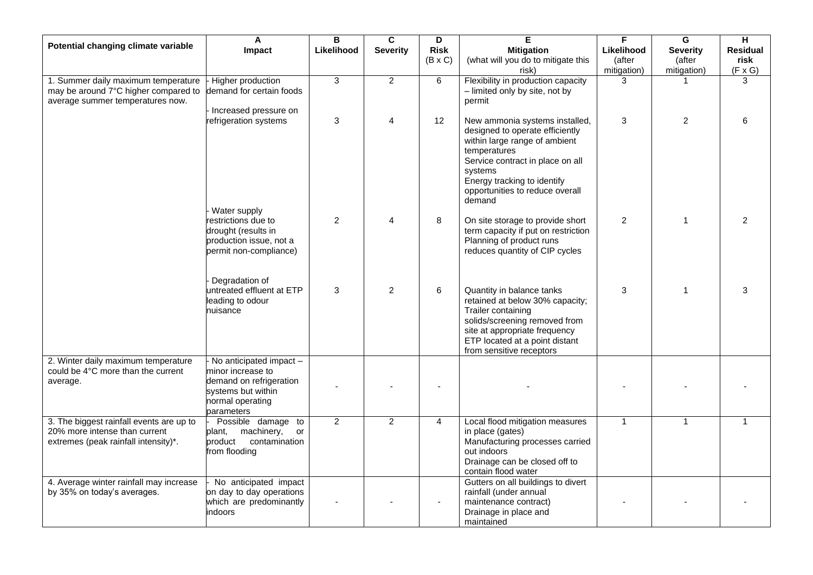|                                                                                                                   | $\blacktriangle$                                                                                                                  | B              | C               | D              | E.                                                                                                                                                                                                                                            | F              | $\overline{\mathbf{G}}$ | $\overline{H}$  |
|-------------------------------------------------------------------------------------------------------------------|-----------------------------------------------------------------------------------------------------------------------------------|----------------|-----------------|----------------|-----------------------------------------------------------------------------------------------------------------------------------------------------------------------------------------------------------------------------------------------|----------------|-------------------------|-----------------|
| Potential changing climate variable                                                                               | <b>Impact</b>                                                                                                                     | Likelihood     | <b>Severity</b> | <b>Risk</b>    | <b>Mitigation</b>                                                                                                                                                                                                                             | Likelihood     | <b>Severity</b>         | <b>Residual</b> |
|                                                                                                                   |                                                                                                                                   |                |                 | $(B \times C)$ | (what will you do to mitigate this                                                                                                                                                                                                            | (after         | (after                  | risk            |
|                                                                                                                   |                                                                                                                                   |                |                 |                | risk)                                                                                                                                                                                                                                         | mitigation)    | mitigation)             | $(F \times G)$  |
| 1. Summer daily maximum temperature<br>may be around 7°C higher compared to<br>average summer temperatures now.   | <b>Higher production</b><br>demand for certain foods<br>Increased pressure on                                                     | $\overline{3}$ | $\overline{2}$  | 6              | Flexibility in production capacity<br>- limited only by site, not by<br>permit                                                                                                                                                                | 3              |                         | 3               |
|                                                                                                                   | refrigeration systems<br>Water supply                                                                                             | 3              | 4               | 12             | New ammonia systems installed,<br>designed to operate efficiently<br>within large range of ambient<br>temperatures<br>Service contract in place on all<br>systems<br>Energy tracking to identify<br>opportunities to reduce overall<br>demand | 3              | 2                       |                 |
|                                                                                                                   | restrictions due to<br>drought (results in<br>production issue, not a<br>permit non-compliance)                                   | $\mathbf{2}$   |                 | 8              | On site storage to provide short<br>term capacity if put on restriction<br>Planning of product runs<br>reduces quantity of CIP cycles                                                                                                         | $\overline{2}$ |                         | $\overline{2}$  |
|                                                                                                                   | Degradation of<br>untreated effluent at ETP<br>leading to odour<br>nuisance                                                       | 3              | $\overline{2}$  | 6              | Quantity in balance tanks<br>retained at below 30% capacity;<br>Trailer containing<br>solids/screening removed from<br>site at appropriate frequency<br>ETP located at a point distant<br>from sensitive receptors                            | 3              | 1                       | 3               |
| 2. Winter daily maximum temperature<br>could be 4°C more than the current<br>average.                             | - No anticipated impact -<br>minor increase to<br>demand on refrigeration<br>systems but within<br>normal operating<br>parameters |                |                 |                |                                                                                                                                                                                                                                               |                |                         |                 |
| 3. The biggest rainfall events are up to<br>20% more intense than current<br>extremes (peak rainfall intensity)*. | Possible damage to<br>machinery,<br>plant,<br>or<br>product<br>contamination<br>from flooding                                     | $\overline{2}$ | $\overline{2}$  | $\overline{4}$ | Local flood mitigation measures<br>in place (gates)<br>Manufacturing processes carried<br>out indoors<br>Drainage can be closed off to<br>contain flood water                                                                                 | $\overline{1}$ | 1                       | $\mathbf{1}$    |
| 4. Average winter rainfall may increase<br>by 35% on today's averages.                                            | No anticipated impact<br>on day to day operations<br>which are predominantly<br>indoors                                           |                |                 |                | Gutters on all buildings to divert<br>rainfall (under annual<br>maintenance contract)<br>Drainage in place and<br>maintained                                                                                                                  |                |                         |                 |